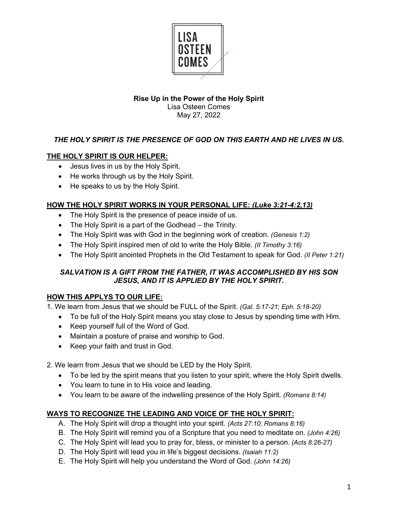

## **Rise Up in the Power of the Holy Spirit** Lisa Osteen Comes May 27, 2022

## *THE HOLY SPIRIT IS THE PRESENCE OF GOD ON THIS EARTH AND HE LIVES IN US.*

## **THE HOLY SPIRIT IS OUR HELPER:**

- Jesus lives in us by the Holy Spirit.
- He works through us by the Holy Spirit.
- He speaks to us by the Holy Spirit.

#### **HOW THE HOLY SPIRIT WORKS IN YOUR PERSONAL LIFE:** *(Luke 3:21-4:2,13)*

- The Holy Spirit is the presence of peace inside of us.
- The Holy Spirit is a part of the Godhead the Trinity.
- The Holy Spirit was with God in the beginning work of creation. *(Genesis 1:2)*
- The Holy Spirit inspired men of old to write the Holy Bible. *(II Timothy 3:16)*
- The Holy Spirit anointed Prophets in the Old Testament to speak for God. *(II Peter 1:21)*

## *SALVATION IS A GIFT FROM THE FATHER, IT WAS ACCOMPLISHED BY HIS SON JESUS, AND IT IS APPLIED BY THE HOLY SPIRIT.*

#### **HOW THIS APPLYS TO OUR LIFE:**

1. We learn from Jesus that we should be FULL of the Spirit. *(Gal. 5:17-21; Eph. 5:18-20)*

- To be full of the Holy Spirit means you stay close to Jesus by spending time with Him.
- Keep yourself full of the Word of God.
- Maintain a posture of praise and worship to God.
- Keep your faith and trust in God.

2. We learn from Jesus that we should be LED by the Holy Spirit.

- To be led by the spirit means that you listen to your spirit, where the Holy Spirit dwells.
- You learn to tune in to His voice and leading.
- You learn to be aware of the indwelling presence of the Holy Spirit. *(Romans 8:14)*

#### **WAYS TO RECOGNIZE THE LEADING AND VOICE OF THE HOLY SPIRIT:**

- A. The Holy Spirit will drop a thought into your spirit. *(Acts 27:10; Romans 8:16)*
- B. The Holy Spirit will remind you of a Scripture that you need to meditate on. *(John 4:26)*
- C. The Holy Spirit will lead you to pray for, bless, or minister to a person. *(Acts 8:26-27)*
- D. The Holy Spirit will lead you in life's biggest decisions. *(Isaiah 11:2)*
- E. The Holy Spirit will help you understand the Word of God. *(John 14:26)*